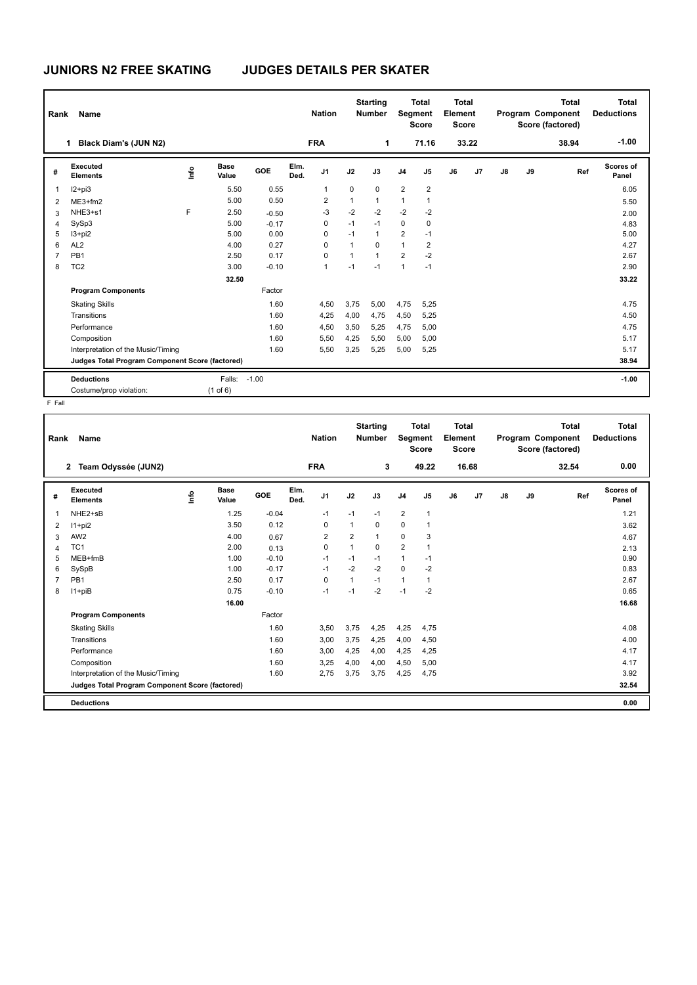## **JUNIORS N2 FREE SKATING JUDGES DETAILS PER SKATER**

| Rank | <b>Name</b>                                     |                            |         |              | <b>Nation</b>  |              | <b>Starting</b><br><b>Number</b> |                         | <b>Total</b><br>Segment<br><b>Score</b> | <b>Total</b><br>Element<br><b>Score</b> |                |               |    | <b>Total</b><br>Program Component<br>Score (factored) | Total<br><b>Deductions</b> |
|------|-------------------------------------------------|----------------------------|---------|--------------|----------------|--------------|----------------------------------|-------------------------|-----------------------------------------|-----------------------------------------|----------------|---------------|----|-------------------------------------------------------|----------------------------|
|      | Black Diam's (JUN N2)<br>1                      |                            |         |              | <b>FRA</b>     |              | 1                                |                         | 71.16                                   |                                         | 33.22          |               |    | 38.94                                                 | $-1.00$                    |
| #    | Executed<br><b>Elements</b>                     | <b>Base</b><br>۴ů<br>Value | GOE     | Elm.<br>Ded. | J <sub>1</sub> | J2           | J3                               | J <sub>4</sub>          | J <sub>5</sub>                          | J6                                      | J <sub>7</sub> | $\mathsf{J}8$ | J9 | Ref                                                   | <b>Scores of</b><br>Panel  |
|      | $12 + pi3$                                      | 5.50                       | 0.55    |              | 1              | $\pmb{0}$    | $\Omega$                         | $\overline{2}$          | $\overline{2}$                          |                                         |                |               |    |                                                       | 6.05                       |
| 2    | $ME3+fm2$                                       | 5.00                       | 0.50    |              | $\overline{2}$ | $\mathbf{1}$ | 1                                | 1                       | $\mathbf{1}$                            |                                         |                |               |    |                                                       | 5.50                       |
| 3    | NHE3+s1                                         | F<br>2.50                  | $-0.50$ |              | $-3$           | $-2$         | $-2$                             | $-2$                    | $-2$                                    |                                         |                |               |    |                                                       | 2.00                       |
| Δ    | SySp3                                           | 5.00                       | $-0.17$ |              | 0              | $-1$         | $-1$                             | $\mathbf 0$             | 0                                       |                                         |                |               |    |                                                       | 4.83                       |
| 5    | $13 + pi2$                                      | 5.00                       | 0.00    |              | $\Omega$       | $-1$         | $\mathbf{1}$                     | $\overline{\mathbf{c}}$ | $-1$                                    |                                         |                |               |    |                                                       | 5.00                       |
| 6    | AL <sub>2</sub>                                 | 4.00                       | 0.27    |              | $\Omega$       | $\mathbf{1}$ | $\Omega$                         | 1                       | $\overline{2}$                          |                                         |                |               |    |                                                       | 4.27                       |
|      | PB <sub>1</sub>                                 | 2.50                       | 0.17    |              | 0              | $\mathbf{1}$ | $\mathbf{1}$                     | $\overline{2}$          | $-2$                                    |                                         |                |               |    |                                                       | 2.67                       |
| 8    | TC <sub>2</sub>                                 | 3.00                       | $-0.10$ |              | 1              | $-1$         | $-1$                             | 1                       | $-1$                                    |                                         |                |               |    |                                                       | 2.90                       |
|      |                                                 | 32.50                      |         |              |                |              |                                  |                         |                                         |                                         |                |               |    |                                                       | 33.22                      |
|      | <b>Program Components</b>                       |                            | Factor  |              |                |              |                                  |                         |                                         |                                         |                |               |    |                                                       |                            |
|      | <b>Skating Skills</b>                           |                            | 1.60    |              | 4,50           | 3,75         | 5,00                             | 4,75                    | 5,25                                    |                                         |                |               |    |                                                       | 4.75                       |
|      | Transitions                                     |                            | 1.60    |              | 4,25           | 4,00         | 4,75                             | 4,50                    | 5,25                                    |                                         |                |               |    |                                                       | 4.50                       |
|      | Performance                                     |                            | 1.60    |              | 4,50           | 3,50         | 5,25                             | 4,75                    | 5,00                                    |                                         |                |               |    |                                                       | 4.75                       |
|      | Composition                                     |                            | 1.60    |              | 5,50           | 4,25         | 5,50                             | 5,00                    | 5,00                                    |                                         |                |               |    |                                                       | 5.17                       |
|      | Interpretation of the Music/Timing              |                            | 1.60    |              | 5,50           | 3,25         | 5,25                             | 5,00                    | 5,25                                    |                                         |                |               |    |                                                       | 5.17                       |
|      | Judges Total Program Component Score (factored) |                            |         |              |                |              |                                  |                         |                                         |                                         |                |               |    |                                                       | 38.94                      |
|      | <b>Deductions</b>                               | Falls:                     | $-1.00$ |              |                |              |                                  |                         |                                         |                                         |                |               |    |                                                       | $-1.00$                    |
|      | Costume/prop violation:                         | $(1$ of $6)$               |         |              |                |              |                                  |                         |                                         |                                         |                |               |    |                                                       |                            |

F Fall

| Rank           | Name                                            |      |                      |         |              | <b>Nation</b>  |                | <b>Starting</b><br><b>Number</b> |                | <b>Total</b><br>Segment<br><b>Score</b> | <b>Total</b><br>Element<br><b>Score</b> |                |    |    | <b>Total</b><br>Program Component<br>Score (factored) | Total<br><b>Deductions</b> |
|----------------|-------------------------------------------------|------|----------------------|---------|--------------|----------------|----------------|----------------------------------|----------------|-----------------------------------------|-----------------------------------------|----------------|----|----|-------------------------------------------------------|----------------------------|
|                | Team Odyssée (JUN2)<br>$\mathbf{2}$             |      |                      |         |              | <b>FRA</b>     |                | 3                                |                | 49.22                                   |                                         | 16.68          |    |    | 32.54                                                 | 0.00                       |
| #              | Executed<br><b>Elements</b>                     | ١nf٥ | <b>Base</b><br>Value | GOE     | Elm.<br>Ded. | J <sub>1</sub> | J2             | J3                               | J <sub>4</sub> | J5                                      | J6                                      | J <sub>7</sub> | J8 | J9 | Ref                                                   | Scores of<br>Panel         |
| 1              | NHE2+sB                                         |      | 1.25                 | $-0.04$ |              | $-1$           | $-1$           | $-1$                             | $\overline{2}$ | 1                                       |                                         |                |    |    |                                                       | 1.21                       |
| 2              | $11+pi2$                                        |      | 3.50                 | 0.12    |              | $\mathbf 0$    | $\mathbf{1}$   | $\mathbf 0$                      | $\mathbf 0$    | 1                                       |                                         |                |    |    |                                                       | 3.62                       |
| 3              | AW <sub>2</sub>                                 |      | 4.00                 | 0.67    |              | 2              | $\overline{2}$ | 1                                | $\mathbf 0$    | 3                                       |                                         |                |    |    |                                                       | 4.67                       |
| 4              | TC <sub>1</sub>                                 |      | 2.00                 | 0.13    |              | $\mathbf 0$    | $\mathbf 1$    | 0                                | $\overline{2}$ |                                         |                                         |                |    |    |                                                       | 2.13                       |
| 5              | MEB+fmB                                         |      | 1.00                 | $-0.10$ |              | $-1$           | $-1$           | $-1$                             | $\mathbf{1}$   | $-1$                                    |                                         |                |    |    |                                                       | 0.90                       |
| 6              | SySpB                                           |      | 1.00                 | $-0.17$ |              | $-1$           | $-2$           | $-2$                             | $\Omega$       | $-2$                                    |                                         |                |    |    |                                                       | 0.83                       |
| $\overline{7}$ | PB <sub>1</sub>                                 |      | 2.50                 | 0.17    |              | 0              | 1              | $-1$                             | $\mathbf{1}$   | 1                                       |                                         |                |    |    |                                                       | 2.67                       |
| 8              | $11+piB$                                        |      | 0.75                 | $-0.10$ |              | $-1$           | $-1$           | $-2$                             | $-1$           | $-2$                                    |                                         |                |    |    |                                                       | 0.65                       |
|                |                                                 |      | 16.00                |         |              |                |                |                                  |                |                                         |                                         |                |    |    |                                                       | 16.68                      |
|                | <b>Program Components</b>                       |      |                      | Factor  |              |                |                |                                  |                |                                         |                                         |                |    |    |                                                       |                            |
|                | <b>Skating Skills</b>                           |      |                      | 1.60    |              | 3,50           | 3,75           | 4,25                             | 4,25           | 4,75                                    |                                         |                |    |    |                                                       | 4.08                       |
|                | Transitions                                     |      |                      | 1.60    |              | 3,00           | 3,75           | 4,25                             | 4,00           | 4,50                                    |                                         |                |    |    |                                                       | 4.00                       |
|                | Performance                                     |      |                      | 1.60    |              | 3,00           | 4,25           | 4,00                             | 4,25           | 4,25                                    |                                         |                |    |    |                                                       | 4.17                       |
|                | Composition                                     |      |                      | 1.60    |              | 3,25           | 4,00           | 4,00                             | 4,50           | 5,00                                    |                                         |                |    |    |                                                       | 4.17                       |
|                | Interpretation of the Music/Timing              |      |                      | 1.60    |              | 2.75           | 3,75           | 3.75                             | 4,25           | 4,75                                    |                                         |                |    |    |                                                       | 3.92                       |
|                | Judges Total Program Component Score (factored) |      |                      |         |              |                |                |                                  |                |                                         |                                         |                |    |    |                                                       | 32.54                      |
|                | <b>Deductions</b>                               |      |                      |         |              |                |                |                                  |                |                                         |                                         |                |    |    |                                                       | 0.00                       |
|                |                                                 |      |                      |         |              |                |                |                                  |                |                                         |                                         |                |    |    |                                                       |                            |